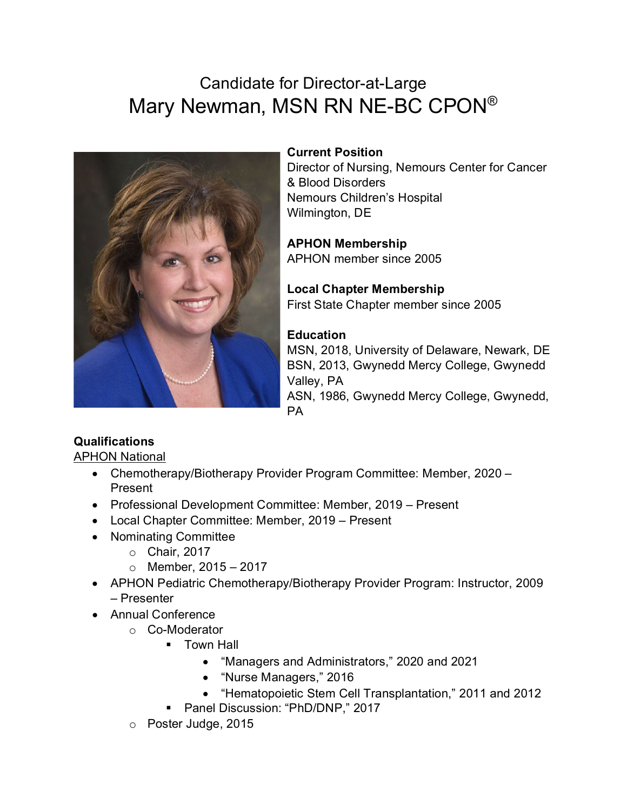# Candidate for Director-at-Large Mary Newman, MSN RN NE-BC CPON®



### **Current Position**

Director of Nursing, Nemours Center for Cancer & Blood Disorders Nemours Children's Hospital Wilmington, DE

#### **APHON Membership** APHON member since 2005

**Local Chapter Membership** First State Chapter member since 2005

## **Education**

MSN, 2018, University of Delaware, Newark, DE BSN, 2013, Gwynedd Mercy College, Gwynedd Valley, PA ASN, 1986, Gwynedd Mercy College, Gwynedd, PA

# **Qualifications**

APHON National

- Chemotherapy/Biotherapy Provider Program Committee: Member, 2020 Present
- Professional Development Committee: Member, 2019 Present
- Local Chapter Committee: Member, 2019 Present
- Nominating Committee
	- o Chair, 2017
	- $\circ$  Member, 2015 2017
- APHON Pediatric Chemotherapy/Biotherapy Provider Program: Instructor, 2009 – Presenter
- Annual Conference
	- o Co-Moderator
		- **Town Hall** 
			- "Managers and Administrators," 2020 and 2021
			- "Nurse Managers," 2016
			- "Hematopoietic Stem Cell Transplantation," 2011 and 2012
		- **Panel Discussion: "PhD/DNP," 2017**
	- o Poster Judge, 2015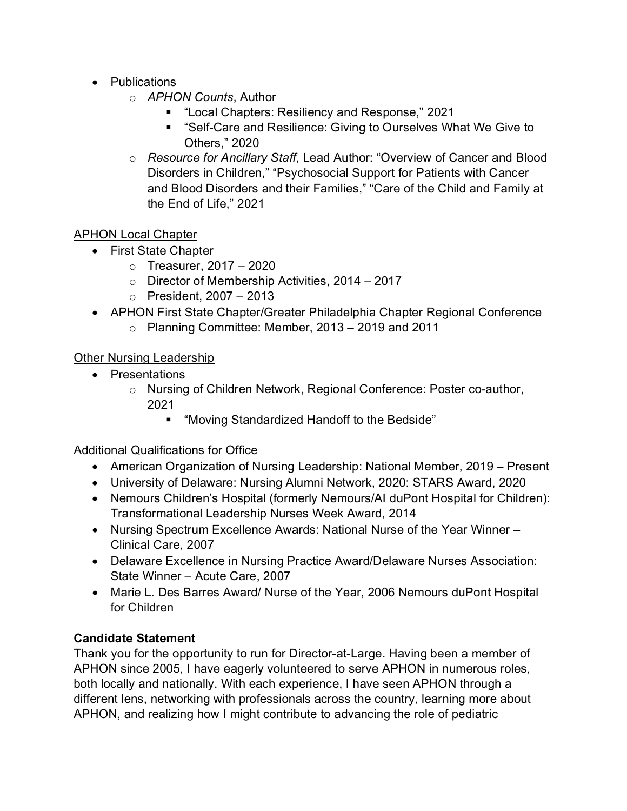- Publications
	- o *APHON Counts*, Author
		- "Local Chapters: Resiliency and Response," 2021
		- "Self-Care and Resilience: Giving to Ourselves What We Give to Others," 2020
	- o *Resource for Ancillary Staff*, Lead Author: "Overview of Cancer and Blood Disorders in Children," "Psychosocial Support for Patients with Cancer and Blood Disorders and their Families," "Care of the Child and Family at the End of Life," 2021

### APHON Local Chapter

- First State Chapter
	- $\circ$  Treasurer, 2017 2020
	- o Director of Membership Activities, 2014 2017
	- o President, 2007 2013
- APHON First State Chapter/Greater Philadelphia Chapter Regional Conference
	- $\circ$  Planning Committee: Member, 2013 2019 and 2011

### Other Nursing Leadership

- Presentations
	- o Nursing of Children Network, Regional Conference: Poster co-author, 2021
		- "Moving Standardized Handoff to the Bedside"

### Additional Qualifications for Office

- American Organization of Nursing Leadership: National Member, 2019 Present
- University of Delaware: Nursing Alumni Network, 2020: STARS Award, 2020
- Nemours Children's Hospital (formerly Nemours/AI duPont Hospital for Children): Transformational Leadership Nurses Week Award, 2014
- Nursing Spectrum Excellence Awards: National Nurse of the Year Winner Clinical Care, 2007
- Delaware Excellence in Nursing Practice Award/Delaware Nurses Association: State Winner – Acute Care, 2007
- Marie L. Des Barres Award/ Nurse of the Year, 2006 Nemours duPont Hospital for Children

### **Candidate Statement**

Thank you for the opportunity to run for Director-at-Large. Having been a member of APHON since 2005, I have eagerly volunteered to serve APHON in numerous roles, both locally and nationally. With each experience, I have seen APHON through a different lens, networking with professionals across the country, learning more about APHON, and realizing how I might contribute to advancing the role of pediatric